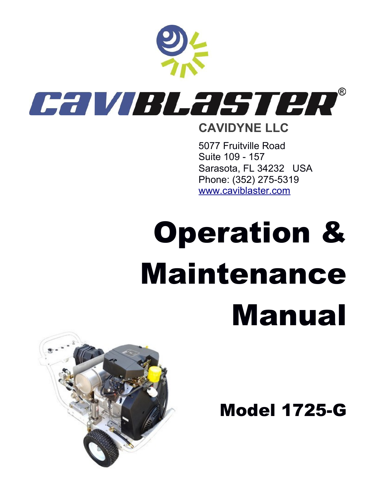

### 5077 Fruitville Road Suite 109 - 157 Sarasota, FL 34232 USA Phone: (352) 275-5319 [www.caviblaster.com](http://www.caviblaster.com/)

# Operation & Maintenance Manual

Model 1725-G

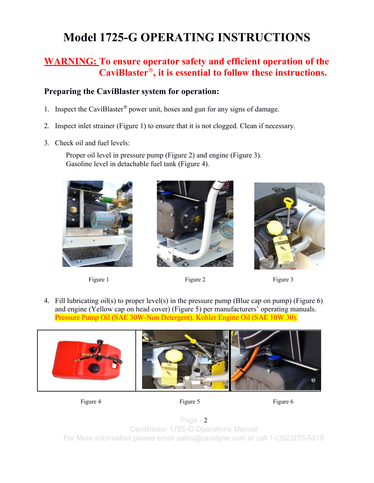## **Model 1725-G OPERATING INSTRUCTIONS**

#### **WARNING: To ensure operator safety and efficient operation of the CaviBlaster**® **, it is essential to follow these instructions.**

#### **Preparing the CaviBlaster system for operation:**

- 1. Inspect the CaviBlaster® power unit, hoses and gun for any signs of damage.
- 2. Inspect inlet strainer (Figure 1) to ensure that it is not clogged. Clean if necessary.
- 3. Check oil and fuel levels:

Proper oil level in pressure pump (Figure 2) and engine (Figure 3). Gasoline level in detachable fuel tank (Figure 4).





Figure 1 Figure 2 Figure 2 Figure 3



4. Fill lubricating oil(s) to proper level(s) in the pressure pump (Blue cap on pump) (Figure 6) and engine (Yellow cap on head cover) (Figure 5) per manufacturers' operating manuals. Pressure Pump Oil (SAE 30W-Non Detergent), Kohler Engine Oil (SAE 10W 30).





Page - 2 CaviBlaster 1725-G Operations Manual For More information please email sales@cavidyne.com or call 1-(352)275-5319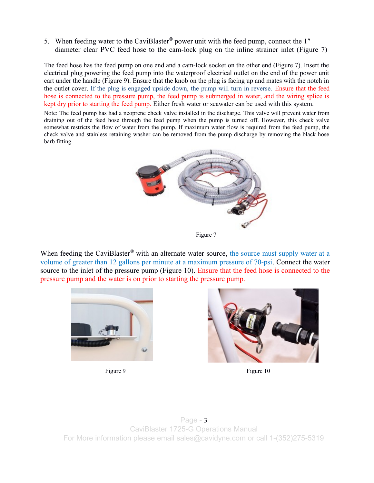5. When feeding water to the CaviBlaster<sup>®</sup> power unit with the feed pump, connect the 1" diameter clear PVC feed hose to the cam-lock plug on the inline strainer inlet (Figure 7)

The feed hose has the feed pump on one end and a cam-lock socket on the other end (Figure 7). Insert the electrical plug powering the feed pump into the waterproof electrical outlet on the end of the power unit cart under the handle (Figure 9). Ensure that the knob on the plug is facing up and mates with the notch in the outlet cover. If the plug is engaged upside down, the pump will turn in reverse. Ensure that the feed hose is connected to the pressure pump, the feed pump is submerged in water, and the wiring splice is kept dry prior to starting the feed pump. Either fresh water or seawater can be used with this system.

Note: The feed pump has had a neoprene check valve installed in the discharge. This valve will prevent water from draining out of the feed hose through the feed pump when the pump is turned off. However, this check valve somewhat restricts the flow of water from the pump. If maximum water flow is required from the feed pump, the check valve and stainless retaining washer can be removed from the pump discharge by removing the black hose barb fitting.



Figure 7

When feeding the CaviBlaster<sup>®</sup> with an alternate water source, the source must supply water at a volume of greater than 12 gallons per minute at a maximum pressure of 70-psi. Connect the water source to the inlet of the pressure pump (Figure 10). Ensure that the feed hose is connected to the pressure pump and the water is on prior to starting the pressure pump.





Figure 9 Figure 10

Page - 3 CaviBlaster 1725-G Operations Manual For More information please email sales@cavidyne.com or call 1-(352)275-5319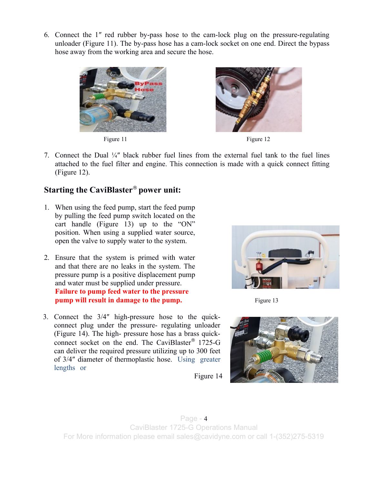6. Connect the 1″ red rubber by-pass hose to the cam-lock plug on the pressure-regulating unloader (Figure 11). The by-pass hose has a cam-lock socket on one end. Direct the bypass hose away from the working area and secure the hose.



Figure 11 Figure 12



7. Connect the Dual ¼″ black rubber fuel lines from the external fuel tank to the fuel lines attached to the fuel filter and engine. This connection is made with a quick connect fitting (Figure 12).

#### **Starting the CaviBlaster**® **power unit:**

- 1. When using the feed pump, start the feed pump by pulling the feed pump switch located on the cart handle (Figure 13) up to the "ON" position. When using a supplied water source, open the valve to supply water to the system.
- 2. Ensure that the system is primed with water and that there are no leaks in the system. The pressure pump is a positive displacement pump and water must be supplied under pressure. **Failure to pump feed water to the pressure pump will result in damage to the pump.** Figure 13
- 3. Connect the 3/4″ high-pressure hose to the quickconnect plug under the pressure- regulating unloader (Figure 14). The high- pressure hose has a brass quickconnect socket on the end. The CaviBlaster® 1725-G can deliver the required pressure utilizing up to 300 feet of 3/4″ diameter of thermoplastic hose. Using greater lengths or





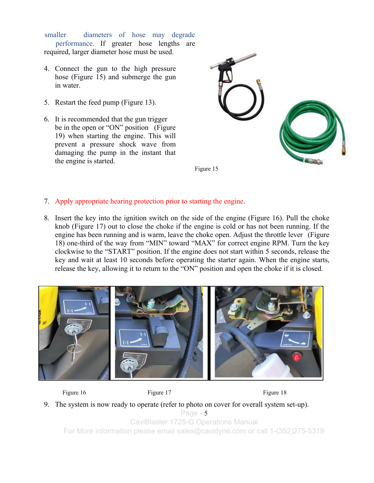smaller diameters of hose may degrade performance. If greater hose lengths are required, larger diameter hose must be used.

- 4. Connect the gun to the high pressure hose (Figure 15) and submerge the gun in water.
- 5. Restart the feed pump (Figure 13).
- 6. It is recommended that the gun trigger be in the open or "ON" position (Figure 19) when starting the engine. This will prevent a pressure shock wave from damaging the pump in the instant that the engine is started.



- 7. Apply appropriate hearing protection prior to starting the engine.
- 8. Insert the key into the ignition switch on the side of the engine (Figure 16). Pull the choke knob (Figure 17) out to close the choke if the engine is cold or has not been running. If the engine has been running and is warm, leave the choke open. Adjust the throttle lever (Figure 18) one-third of the way from "MIN" toward "MAX" for correct engine RPM. Turn the key clockwise to the "START" position. If the engine does not start within 5 seconds, release the key and wait at least 10 seconds before operating the starter again. When the engine starts, release the key, allowing it to return to the "ON" position and open the choke if it is closed.





Figure 16 Figure 17 Figure 18 Figure 18

9. The system is now ready to operate (refer to photo on cover for overall system set-up). Page - 5 CaviBlaster 1725-G Operations Manual For More information please email sales@cavidyne.com or call 1-(352)275-5319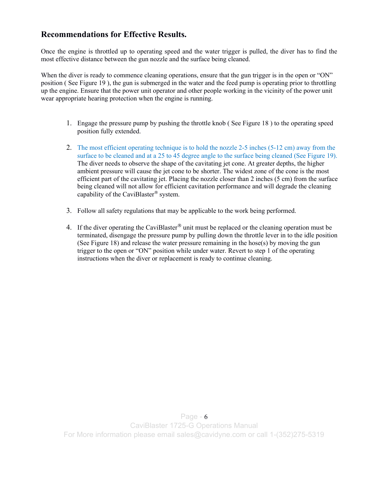#### **Recommendations for Effective Results.**

Once the engine is throttled up to operating speed and the water trigger is pulled, the diver has to find the most effective distance between the gun nozzle and the surface being cleaned.

When the diver is ready to commence cleaning operations, ensure that the gun trigger is in the open or "ON" position ( See Figure 19 ), the gun is submerged in the water and the feed pump is operating prior to throttling up the engine. Ensure that the power unit operator and other people working in the vicinity of the power unit wear appropriate hearing protection when the engine is running.

- 1. Engage the pressure pump by pushing the throttle knob ( See Figure 18 ) to the operating speed position fully extended.
- 2. The most efficient operating technique is to hold the nozzle 2-5 inches (5-12 cm) away from the surface to be cleaned and at a 25 to 45 degree angle to the surface being cleaned (See Figure 19). The diver needs to observe the shape of the cavitating jet cone. At greater depths, the higher ambient pressure will cause the jet cone to be shorter. The widest zone of the cone is the most efficient part of the cavitating jet. Placing the nozzle closer than 2 inches (5 cm) from the surface being cleaned will not allow for efficient cavitation performance and will degrade the cleaning capability of the CaviBlaster® system.
- 3. Follow all safety regulations that may be applicable to the work being performed.
- 4. If the diver operating the CaviBlaster<sup>®</sup> unit must be replaced or the cleaning operation must be terminated, disengage the pressure pump by pulling down the throttle lever in to the idle position (See Figure 18) and release the water pressure remaining in the hose(s) by moving the gun trigger to the open or "ON" position while under water. Revert to step 1 of the operating instructions when the diver or replacement is ready to continue cleaning.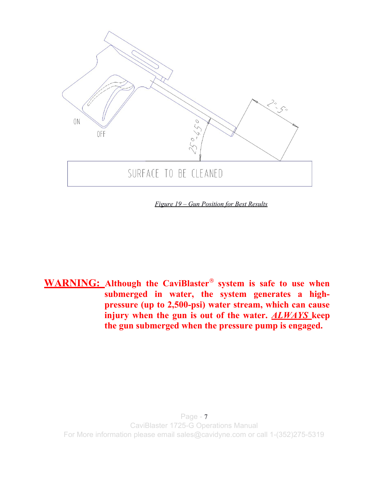

*Figure 19 – Gun Position for Best Results*

**WARNING: Although the CaviBlaster**® **system is safe to use when submerged in water, the system generates a highpressure (up to 2,500-psi) water stream, which can cause injury when the gun is out of the water.** *ALWAYS* **keep the gun submerged when the pressure pump is engaged.**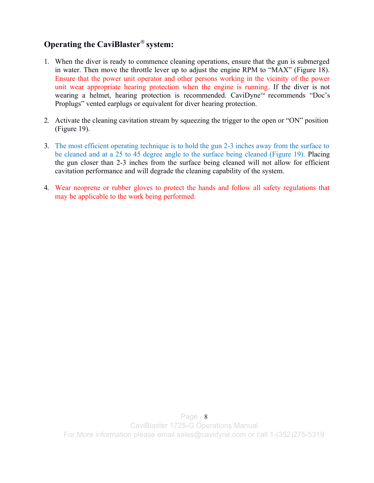#### **Operating the CaviBlaster**® **system:**

- 1. When the diver is ready to commence cleaning operations, ensure that the gun is submerged in water. Then move the throttle lever up to adjust the engine RPM to "MAX" (Figure 18). Ensure that the power unit operator and other persons working in the vicinity of the power unit wear appropriate hearing protection when the engine is running. If the diver is not wearing a helmet, hearing protection is recommended. CaviDyne™ recommends "Doc's Proplugs" vented earplugs or equivalent for diver hearing protection.
- 2. Activate the cleaning cavitation stream by squeezing the trigger to the open or "ON" position (Figure 19).
- 3. The most efficient operating technique is to hold the gun 2-3 inches away from the surface to be cleaned and at a 25 to 45 degree angle to the surface being cleaned (Figure 19). Placing the gun closer than 2-3 inches from the surface being cleaned will not allow for efficient cavitation performance and will degrade the cleaning capability of the system.
- 4. Wear neoprene or rubber gloves to protect the hands and follow all safety regulations that may be applicable to the work being performed.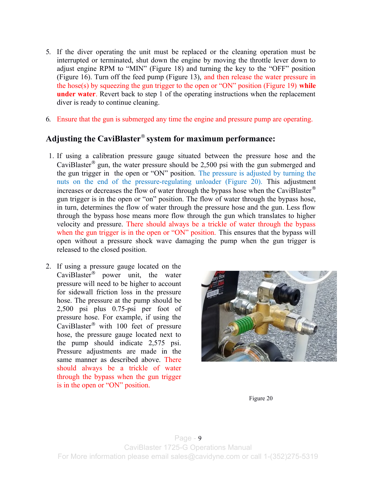- 5. If the diver operating the unit must be replaced or the cleaning operation must be interrupted or terminated, shut down the engine by moving the throttle lever down to adjust engine RPM to "MIN" (Figure 18) and turning the key to the "OFF" position (Figure 16). Turn off the feed pump (Figure 13), and then release the water pressure in the hose(s) by squeezing the gun trigger to the open or "ON" position (Figure 19) **while under water**. Revert back to step 1 of the operating instructions when the replacement diver is ready to continue cleaning.
- 6. Ensure that the gun is submerged any time the engine and pressure pump are operating.

#### **Adjusting the CaviBlaster**® **system for maximum performance:**

- 1. If using a calibration pressure gauge situated between the pressure hose and the CaviBlaster<sup>®</sup> gun, the water pressure should be 2,500 psi with the gun submerged and the gun trigger in the open or "ON" position. The pressure is adjusted by turning the nuts on the end of the pressure-regulating unloader (Figure 20). This adjustment increases or decreases the flow of water through the bypass hose when the CaviBlaster® gun trigger is in the open or "on" position. The flow of water through the bypass hose, in turn, determines the flow of water through the pressure hose and the gun. Less flow through the bypass hose means more flow through the gun which translates to higher velocity and pressure. There should always be a trickle of water through the bypass when the gun trigger is in the open or "ON" position. This ensures that the bypass will open without a pressure shock wave damaging the pump when the gun trigger is released to the closed position.
- 2. If using a pressure gauge located on the CaviBlaster® power unit, the water pressure will need to be higher to account for sidewall friction loss in the pressure hose. The pressure at the pump should be 2,500 psi plus 0.75-psi per foot of pressure hose. For example, if using the CaviBlaster® with 100 feet of pressure hose, the pressure gauge located next to the pump should indicate 2,575 psi. Pressure adjustments are made in the same manner as described above. There should always be a trickle of water through the bypass when the gun trigger is in the open or "ON" position.



Figure 20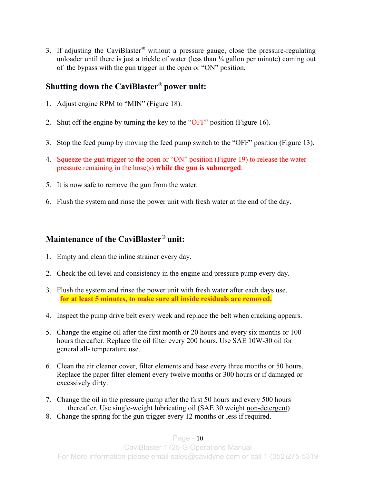3. If adjusting the CaviBlaster<sup>®</sup> without a pressure gauge, close the pressure-regulating unloader until there is just a trickle of water (less than  $\frac{1}{4}$  gallon per minute) coming out of the bypass with the gun trigger in the open or "ON" position.

#### **Shutting down the CaviBlaster**® **power unit:**

- 1. Adjust engine RPM to "MIN" (Figure 18).
- 2. Shut off the engine by turning the key to the "OFF" position (Figure 16).
- 3. Stop the feed pump by moving the feed pump switch to the "OFF" position (Figure 13).
- 4. Squeeze the gun trigger to the open or "ON" position (Figure 19) to release the water pressure remaining in the hose(s) **while the gun is submerged**.
- 5. It is now safe to remove the gun from the water.
- 6. Flush the system and rinse the power unit with fresh water at the end of the day.

#### **Maintenance of the CaviBlaster**® **unit:**

- 1. Empty and clean the inline strainer every day.
- 2. Check the oil level and consistency in the engine and pressure pump every day.
- 3. Flush the system and rinse the power unit with fresh water after each days use, **for at least 5 minutes, to make sure all inside residuals are removed.**
- 4. Inspect the pump drive belt every week and replace the belt when cracking appears.
- 5. Change the engine oil after the first month or 20 hours and every six months or 100 hours thereafter. Replace the oil filter every 200 hours. Use SAE 10W-30 oil for general all- temperature use.
- 6. Clean the air cleaner cover, filter elements and base every three months or 50 hours. Replace the paper filter element every twelve months or 300 hours or if damaged or excessively dirty.
- 7. Change the oil in the pressure pump after the first 50 hours and every 500 hours thereafter. Use single-weight lubricating oil (SAE 30 weight non-detergent)
- 8. Change the spring for the gun trigger every 12 months or less if required.

#### Page  $-10$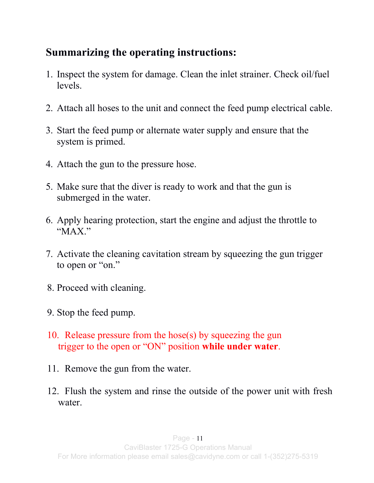## **Summarizing the operating instructions:**

- 1. Inspect the system for damage. Clean the inlet strainer. Check oil/fuel levels.
- 2. Attach all hoses to the unit and connect the feed pump electrical cable.
- 3. Start the feed pump or alternate water supply and ensure that the system is primed.
- 4. Attach the gun to the pressure hose.
- 5. Make sure that the diver is ready to work and that the gun is submerged in the water.
- 6. Apply hearing protection, start the engine and adjust the throttle to "MAX."
- 7. Activate the cleaning cavitation stream by squeezing the gun trigger to open or "on."
- 8. Proceed with cleaning.
- 9. Stop the feed pump.
- 10. Release pressure from the hose(s) by squeezing the gun trigger to the open or "ON" position **while under water**.
- 11. Remove the gun from the water.
- 12. Flush the system and rinse the outside of the power unit with fresh water.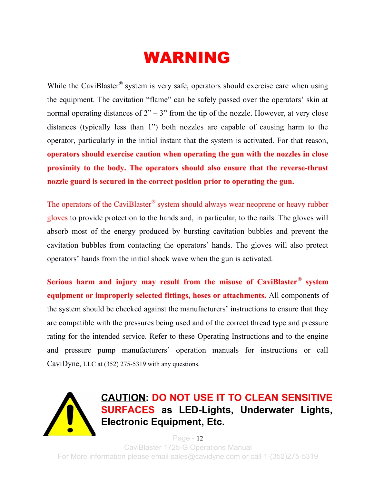## WARNING

While the CaviBlaster<sup>®</sup> system is very safe, operators should exercise care when using the equipment. The cavitation "flame" can be safely passed over the operators' skin at normal operating distances of  $2" - 3"$  from the tip of the nozzle. However, at very close distances (typically less than 1") both nozzles are capable of causing harm to the operator, particularly in the initial instant that the system is activated. For that reason, **operators should exercise caution when operating the gun with the nozzles in close proximity to the body. The operators should also ensure that the reverse-thrust nozzle guard is secured in the correct position prior to operating the gun.**

The operators of the CaviBlaster<sup>®</sup> system should always wear neoprene or heavy rubber gloves to provide protection to the hands and, in particular, to the nails. The gloves will absorb most of the energy produced by bursting cavitation bubbles and prevent the cavitation bubbles from contacting the operators' hands. The gloves will also protect operators' hands from the initial shock wave when the gun is activated.

**Serious harm and injury may result from the misuse of CaviBlaster**® **system equipment or improperly selected fittings, hoses or attachments.** All components of the system should be checked against the manufacturers' instructions to ensure that they are compatible with the pressures being used and of the correct thread type and pressure rating for the intended service. Refer to these Operating Instructions and to the engine and pressure pump manufacturers' operation manuals for instructions or call CaviDyne, LLC at (352) 275-5319 with any questions.



**CAUTION: DO NOT USE IT TO CLEAN SENSITIVE SURFACES as LED-Lights, Underwater Lights, Electronic Equipment, Etc.**

Page - 12 CaviBlaster 1725-G Operations Manual For More information please email sales@cavidyne.com or call 1-(352)275-5319